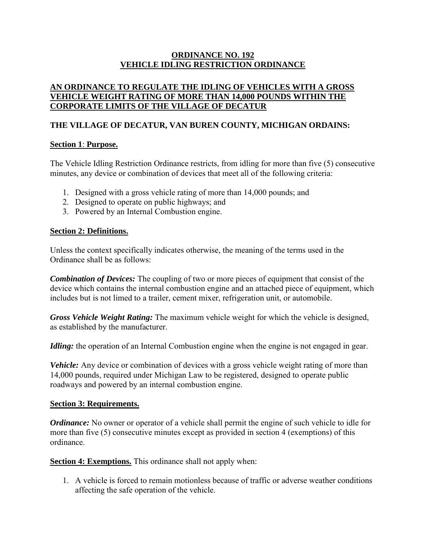# **ORDINANCE NO. 192 VEHICLE IDLING RESTRICTION ORDINANCE**

# **AN ORDINANCE TO REGULATE THE IDLING OF VEHICLES WITH A GROSS VEHICLE WEIGHT RATING OF MORE THAN 14,000 POUNDS WITHIN THE CORPORATE LIMITS OF THE VILLAGE OF DECATUR**

# **THE VILLAGE OF DECATUR, VAN BUREN COUNTY, MICHIGAN ORDAINS:**

## **Section 1**: **Purpose.**

The Vehicle Idling Restriction Ordinance restricts, from idling for more than five (5) consecutive minutes, any device or combination of devices that meet all of the following criteria:

- 1. Designed with a gross vehicle rating of more than 14,000 pounds; and
- 2. Designed to operate on public highways; and
- 3. Powered by an Internal Combustion engine.

### **Section 2: Definitions.**

Unless the context specifically indicates otherwise, the meaning of the terms used in the Ordinance shall be as follows:

*Combination of Devices:* The coupling of two or more pieces of equipment that consist of the device which contains the internal combustion engine and an attached piece of equipment, which includes but is not limed to a trailer, cement mixer, refrigeration unit, or automobile.

*Gross Vehicle Weight Rating:* The maximum vehicle weight for which the vehicle is designed, as established by the manufacturer.

*Idling:* the operation of an Internal Combustion engine when the engine is not engaged in gear.

*Vehicle:* Any device or combination of devices with a gross vehicle weight rating of more than 14,000 pounds, required under Michigan Law to be registered, designed to operate public roadways and powered by an internal combustion engine.

### **Section 3: Requirements.**

*Ordinance:* No owner or operator of a vehicle shall permit the engine of such vehicle to idle for more than five (5) consecutive minutes except as provided in section 4 (exemptions) of this ordinance.

**Section 4: Exemptions.** This ordinance shall not apply when:

1. A vehicle is forced to remain motionless because of traffic or adverse weather conditions affecting the safe operation of the vehicle.